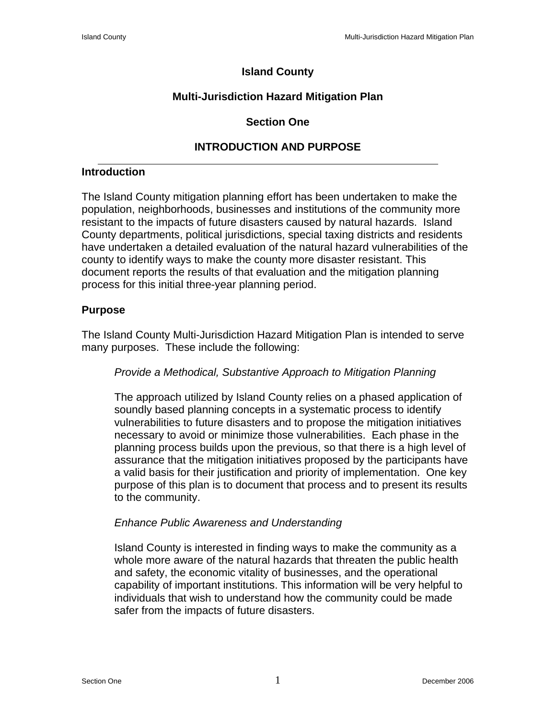# **Island County**

# **Multi-Jurisdiction Hazard Mitigation Plan**

## **Section One**

# **INTRODUCTION AND PURPOSE**

#### **Introduction**

The Island County mitigation planning effort has been undertaken to make the population, neighborhoods, businesses and institutions of the community more resistant to the impacts of future disasters caused by natural hazards. Island County departments, political jurisdictions, special taxing districts and residents have undertaken a detailed evaluation of the natural hazard vulnerabilities of the county to identify ways to make the county more disaster resistant. This document reports the results of that evaluation and the mitigation planning process for this initial three-year planning period.

## **Purpose**

The Island County Multi-Jurisdiction Hazard Mitigation Plan is intended to serve many purposes. These include the following:

## *Provide a Methodical, Substantive Approach to Mitigation Planning*

The approach utilized by Island County relies on a phased application of soundly based planning concepts in a systematic process to identify vulnerabilities to future disasters and to propose the mitigation initiatives necessary to avoid or minimize those vulnerabilities. Each phase in the planning process builds upon the previous, so that there is a high level of assurance that the mitigation initiatives proposed by the participants have a valid basis for their justification and priority of implementation. One key purpose of this plan is to document that process and to present its results to the community.

## *Enhance Public Awareness and Understanding*

Island County is interested in finding ways to make the community as a whole more aware of the natural hazards that threaten the public health and safety, the economic vitality of businesses, and the operational capability of important institutions. This information will be very helpful to individuals that wish to understand how the community could be made safer from the impacts of future disasters.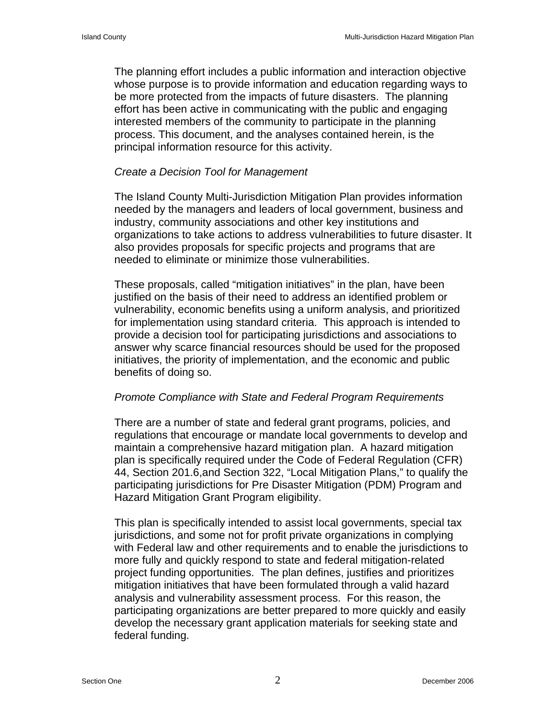The planning effort includes a public information and interaction objective whose purpose is to provide information and education regarding ways to be more protected from the impacts of future disasters. The planning effort has been active in communicating with the public and engaging interested members of the community to participate in the planning process. This document, and the analyses contained herein, is the principal information resource for this activity.

#### *Create a Decision Tool for Management*

The Island County Multi-Jurisdiction Mitigation Plan provides information needed by the managers and leaders of local government, business and industry, community associations and other key institutions and organizations to take actions to address vulnerabilities to future disaster. It also provides proposals for specific projects and programs that are needed to eliminate or minimize those vulnerabilities.

These proposals, called "mitigation initiatives" in the plan, have been justified on the basis of their need to address an identified problem or vulnerability, economic benefits using a uniform analysis, and prioritized for implementation using standard criteria. This approach is intended to provide a decision tool for participating jurisdictions and associations to answer why scarce financial resources should be used for the proposed initiatives, the priority of implementation, and the economic and public benefits of doing so.

#### *Promote Compliance with State and Federal Program Requirements*

There are a number of state and federal grant programs, policies, and regulations that encourage or mandate local governments to develop and maintain a comprehensive hazard mitigation plan. A hazard mitigation plan is specifically required under the Code of Federal Regulation (CFR) 44, Section 201.6,and Section 322, "Local Mitigation Plans," to qualify the participating jurisdictions for Pre Disaster Mitigation (PDM) Program and Hazard Mitigation Grant Program eligibility.

This plan is specifically intended to assist local governments, special tax jurisdictions, and some not for profit private organizations in complying with Federal law and other requirements and to enable the jurisdictions to more fully and quickly respond to state and federal mitigation-related project funding opportunities. The plan defines, justifies and prioritizes mitigation initiatives that have been formulated through a valid hazard analysis and vulnerability assessment process. For this reason, the participating organizations are better prepared to more quickly and easily develop the necessary grant application materials for seeking state and federal funding.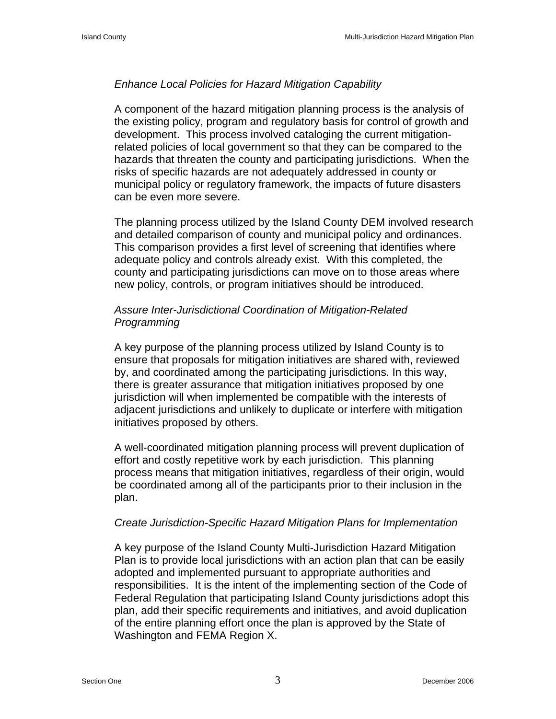# *Enhance Local Policies for Hazard Mitigation Capability*

A component of the hazard mitigation planning process is the analysis of the existing policy, program and regulatory basis for control of growth and development. This process involved cataloging the current mitigationrelated policies of local government so that they can be compared to the hazards that threaten the county and participating jurisdictions. When the risks of specific hazards are not adequately addressed in county or municipal policy or regulatory framework, the impacts of future disasters can be even more severe.

The planning process utilized by the Island County DEM involved research and detailed comparison of county and municipal policy and ordinances. This comparison provides a first level of screening that identifies where adequate policy and controls already exist. With this completed, the county and participating jurisdictions can move on to those areas where new policy, controls, or program initiatives should be introduced.

# *Assure Inter-Jurisdictional Coordination of Mitigation-Related Programming*

A key purpose of the planning process utilized by Island County is to ensure that proposals for mitigation initiatives are shared with, reviewed by, and coordinated among the participating jurisdictions. In this way, there is greater assurance that mitigation initiatives proposed by one jurisdiction will when implemented be compatible with the interests of adjacent jurisdictions and unlikely to duplicate or interfere with mitigation initiatives proposed by others.

A well-coordinated mitigation planning process will prevent duplication of effort and costly repetitive work by each jurisdiction. This planning process means that mitigation initiatives, regardless of their origin, would be coordinated among all of the participants prior to their inclusion in the plan.

## *Create Jurisdiction-Specific Hazard Mitigation Plans for Implementation*

A key purpose of the Island County Multi-Jurisdiction Hazard Mitigation Plan is to provide local jurisdictions with an action plan that can be easily adopted and implemented pursuant to appropriate authorities and responsibilities. It is the intent of the implementing section of the Code of Federal Regulation that participating Island County jurisdictions adopt this plan, add their specific requirements and initiatives, and avoid duplication of the entire planning effort once the plan is approved by the State of Washington and FEMA Region X.